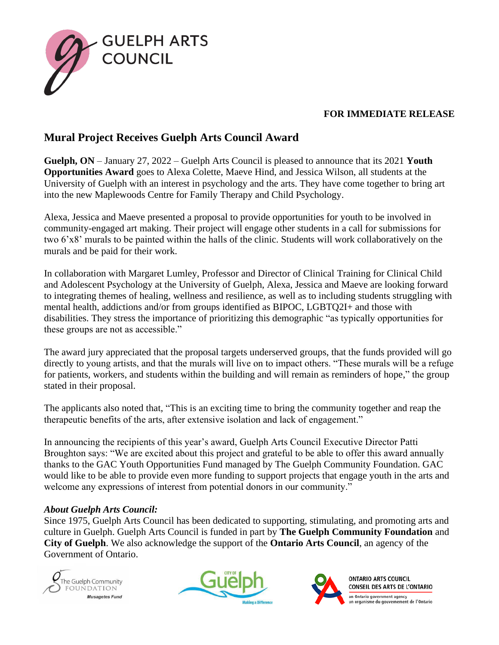

## **FOR IMMEDIATE RELEASE**

## **Mural Project Receives Guelph Arts Council Award**

**Guelph, ON** – January 27, 2022 – Guelph Arts Council is pleased to announce that its 2021 **Youth Opportunities Award** goes to Alexa Colette, Maeve Hind, and Jessica Wilson, all students at the University of Guelph with an interest in psychology and the arts. They have come together to bring art into the new Maplewoods Centre for Family Therapy and Child Psychology.

Alexa, Jessica and Maeve presented a proposal to provide opportunities for youth to be involved in community-engaged art making. Their project will engage other students in a call for submissions for two 6'x8' murals to be painted within the halls of the clinic. Students will work collaboratively on the murals and be paid for their work.

In collaboration with Margaret Lumley, Professor and Director of Clinical Training for Clinical Child and Adolescent Psychology at the University of Guelph, Alexa, Jessica and Maeve are looking forward to integrating themes of healing, wellness and resilience, as well as to including students struggling with mental health, addictions and/or from groups identified as BIPOC, LGBTQ2I+ and those with disabilities. They stress the importance of prioritizing this demographic "as typically opportunities for these groups are not as accessible."

The award jury appreciated that the proposal targets underserved groups, that the funds provided will go directly to young artists, and that the murals will live on to impact others. "These murals will be a refuge for patients, workers, and students within the building and will remain as reminders of hope," the group stated in their proposal.

The applicants also noted that, "This is an exciting time to bring the community together and reap the therapeutic benefits of the arts, after extensive isolation and lack of engagement."

In announcing the recipients of this year's award, Guelph Arts Council Executive Director Patti Broughton says: "We are excited about this project and grateful to be able to offer this award annually thanks to the GAC Youth Opportunities Fund managed by The Guelph Community Foundation. GAC would like to be able to provide even more funding to support projects that engage youth in the arts and welcome any expressions of interest from potential donors in our community."

## *About Guelph Arts Council:*

Since 1975, Guelph Arts Council has been dedicated to supporting, stimulating, and promoting arts and culture in Guelph. Guelph Arts Council is funded in part by **The Guelph Community Foundation** and **City of Guelph**. We also acknowledge the support of the **Ontario Arts Council**, an agency of the Government of Ontario.







**ONTARIO ARTS COUNCIL** CONSEIL DES ARTS DE L'ONTARIO an Ontario government agency<br>un organisme du gouvernement de l'Ontario